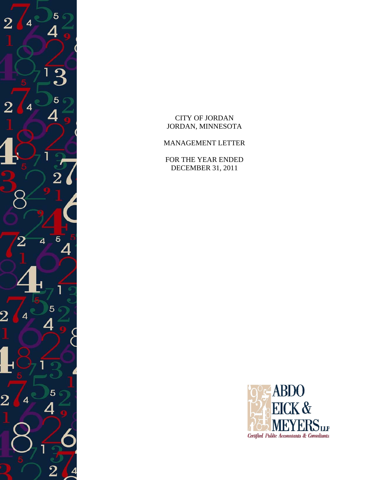

CITY OF JORDAN JORDAN, MINNESOTA

MANAGEMENT LETTER

FOR THE YEAR ENDED DECEMBER 31, 2011

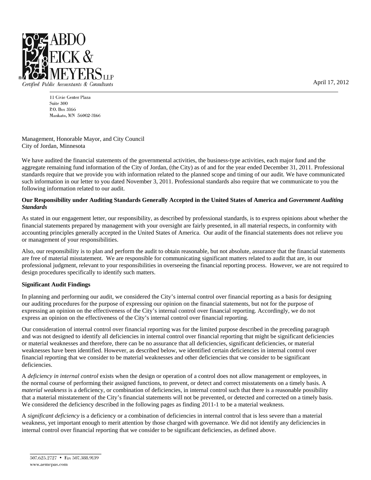

Certified Public Accountants & Consultants

11 Civic Center Plaza Suite 300 P.O. Box 3166 Mankato, MN 56002-3166

Management, Honorable Mayor, and City Council City of Jordan, Minnesota

We have audited the financial statements of the governmental activities, the business-type activities, each major fund and the aggregate remaining fund information of the City of Jordan, (the City) as of and for the year ended December 31, 2011. Professional standards require that we provide you with information related to the planned scope and timing of our audit. We have communicated such information in our letter to you dated November 3, 2011. Professional standards also require that we communicate to you the following information related to our audit.

## **Our Responsibility under Auditing Standards Generally Accepted in the United States of America and** *Government Auditing Standards*

As stated in our engagement letter, our responsibility, as described by professional standards, is to express opinions about whether the financial statements prepared by management with your oversight are fairly presented, in all material respects, in conformity with accounting principles generally accepted in the United States of America. Our audit of the financial statements does not relieve you or management of your responsibilities.

Also, our responsibility is to plan and perform the audit to obtain reasonable, but not absolute, assurance that the financial statements are free of material misstatement. We are responsible for communicating significant matters related to audit that are, in our professional judgment, relevant to your responsibilities in overseeing the financial reporting process. However, we are not required to design procedures specifically to identify such matters.

## **Significant Audit Findings**

In planning and performing our audit, we considered the City's internal control over financial reporting as a basis for designing our auditing procedures for the purpose of expressing our opinion on the financial statements, but not for the purpose of expressing an opinion on the effectiveness of the City's internal control over financial reporting. Accordingly, we do not express an opinion on the effectiveness of the City's internal control over financial reporting.

Our consideration of internal control over financial reporting was for the limited purpose described in the preceding paragraph and was not designed to identify all deficiencies in internal control over financial reporting that might be significant deficiencies or material weaknesses and therefore, there can be no assurance that all deficiencies, significant deficiencies, or material weaknesses have been identified. However, as described below, we identified certain deficiencies in internal control over financial reporting that we consider to be material weaknesses and other deficiencies that we consider to be significant deficiencies.

A *deficiency in internal control* exists when the design or operation of a control does not allow management or employees, in the normal course of performing their assigned functions, to prevent, or detect and correct misstatements on a timely basis. A *material weakness* is a deficiency, or combination of deficiencies, in internal control such that there is a reasonable possibility that a material misstatement of the City's financial statements will not be prevented, or detected and corrected on a timely basis. We considered the deficiency described in the following pages as finding 2011-1 to be a material weakness.

A *significant deficiency* is a deficiency or a combination of deficiencies in internal control that is less severe than a material weakness, yet important enough to merit attention by those charged with governance. We did not identify any deficiencies in internal control over financial reporting that we consider to be significant deficiencies, as defined above.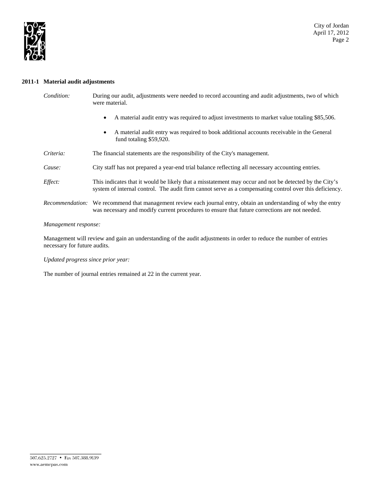

### **2011-1 Material audit adjustments**

| Condition: | During our audit, adjustments were needed to record accounting and audit adjustments, two of which |
|------------|----------------------------------------------------------------------------------------------------|
|            | were material.                                                                                     |

- A material audit entry was required to adjust investments to market value totaling \$85,506.
- A material audit entry was required to book additional accounts receivable in the General fund totaling \$59,920.
- *Criteria:* The financial statements are the responsibility of the City's management.

## *Cause:* City staff has not prepared a year-end trial balance reflecting all necessary accounting entries.

- *Effect:* This indicates that it would be likely that a misstatement may occur and not be detected by the City's system of internal control. The audit firm cannot serve as a compensating control over this deficiency.
- *Recommendation:* We recommend that management review each journal entry, obtain an understanding of why the entry was necessary and modify current procedures to ensure that future corrections are not needed.

### *Management response:*

Management will review and gain an understanding of the audit adjustments in order to reduce the number of entries necessary for future audits.

### *Updated progress since prior year:*

The number of journal entries remained at 22 in the current year.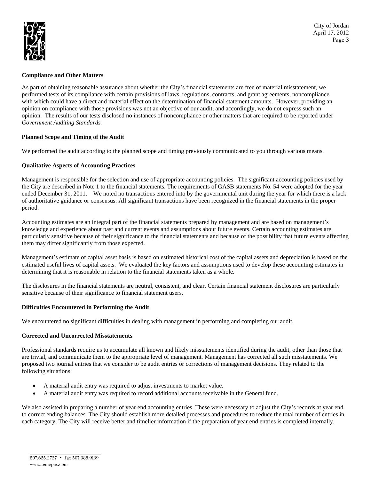

## **Compliance and Other Matters**

As part of obtaining reasonable assurance about whether the City's financial statements are free of material misstatement, we performed tests of its compliance with certain provisions of laws, regulations, contracts, and grant agreements, noncompliance with which could have a direct and material effect on the determination of financial statement amounts. However, providing an opinion on compliance with those provisions was not an objective of our audit, and accordingly, we do not express such an opinion. The results of our tests disclosed no instances of noncompliance or other matters that are required to be reported under *Government Auditing Standards.*

## **Planned Scope and Timing of the Audit**

We performed the audit according to the planned scope and timing previously communicated to you through various means.

## **Qualitative Aspects of Accounting Practices**

Management is responsible for the selection and use of appropriate accounting policies. The significant accounting policies used by the City are described in Note 1 to the financial statements. The requirements of GASB statements No. 54 were adopted for the year ended December 31, 2011. We noted no transactions entered into by the governmental unit during the year for which there is a lack of authoritative guidance or consensus. All significant transactions have been recognized in the financial statements in the proper period.

Accounting estimates are an integral part of the financial statements prepared by management and are based on management's knowledge and experience about past and current events and assumptions about future events. Certain accounting estimates are particularly sensitive because of their significance to the financial statements and because of the possibility that future events affecting them may differ significantly from those expected.

Management's estimate of capital asset basis is based on estimated historical cost of the capital assets and depreciation is based on the estimated useful lives of capital assets. We evaluated the key factors and assumptions used to develop these accounting estimates in determining that it is reasonable in relation to the financial statements taken as a whole.

The disclosures in the financial statements are neutral, consistent, and clear. Certain financial statement disclosures are particularly sensitive because of their significance to financial statement users.

### **Difficulties Encountered in Performing the Audit**

We encountered no significant difficulties in dealing with management in performing and completing our audit.

### **Corrected and Uncorrected Misstatements**

Professional standards require us to accumulate all known and likely misstatements identified during the audit, other than those that are trivial, and communicate them to the appropriate level of management. Management has corrected all such misstatements. We proposed two journal entries that we consider to be audit entries or corrections of management decisions. They related to the following situations:

- A material audit entry was required to adjust investments to market value.
- A material audit entry was required to record additional accounts receivable in the General fund.

We also assisted in preparing a number of year end accounting entries. These were necessary to adjust the City's records at year end to correct ending balances. The City should establish more detailed processes and procedures to reduce the total number of entries in each category. The City will receive better and timelier information if the preparation of year end entries is completed internally.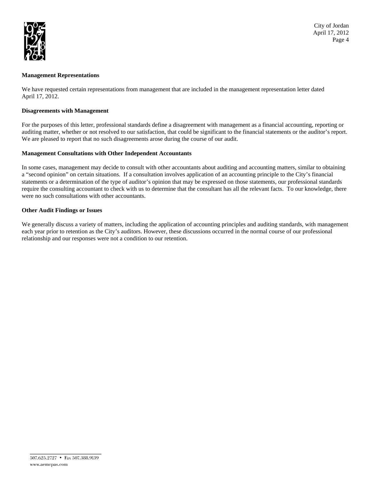

## **Management Representations**

We have requested certain representations from management that are included in the management representation letter dated April 17, 2012.

### **Disagreements with Management**

For the purposes of this letter, professional standards define a disagreement with management as a financial accounting, reporting or auditing matter, whether or not resolved to our satisfaction, that could be significant to the financial statements or the auditor's report. We are pleased to report that no such disagreements arose during the course of our audit.

### **Management Consultations with Other Independent Accountants**

In some cases, management may decide to consult with other accountants about auditing and accounting matters, similar to obtaining a "second opinion" on certain situations. If a consultation involves application of an accounting principle to the City's financial statements or a determination of the type of auditor's opinion that may be expressed on those statements, our professional standards require the consulting accountant to check with us to determine that the consultant has all the relevant facts. To our knowledge, there were no such consultations with other accountants.

### **Other Audit Findings or Issues**

We generally discuss a variety of matters, including the application of accounting principles and auditing standards, with management each year prior to retention as the City's auditors. However, these discussions occurred in the normal course of our professional relationship and our responses were not a condition to our retention.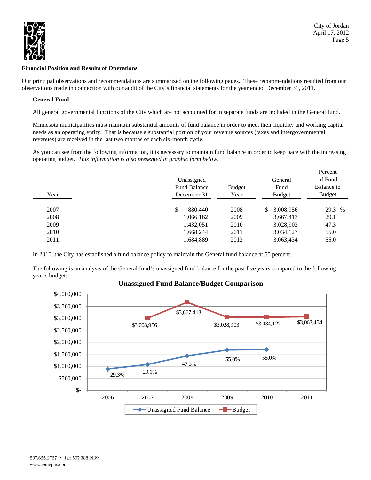

### **Financial Position and Results of Operations**

Our principal observations and recommendations are summarized on the following pages. These recommendations resulted from our observations made in connection with our audit of the City's financial statements for the year ended December 31, 2011.

### **General Fund**

All general governmental functions of the City which are not accounted for in separate funds are included in the General fund.

Minnesota municipalities must maintain substantial amounts of fund balance in order to meet their liquidity and working capital needs as an operating entity. That is because a substantial portion of your revenue sources (taxes and intergovernmental revenues) are received in the last two months of each six-month cycle.

As you can see from the following information, it is necessary to maintain fund balance in order to keep pace with the increasing operating budget. *This information is also presented in graphic form below*.

| Year | Unassigned<br><b>Fund Balance</b><br>December 31 | <b>Budget</b><br>Year | General<br>Fund<br><b>Budget</b> | Percent<br>of Fund<br>Balance to<br>Budget |
|------|--------------------------------------------------|-----------------------|----------------------------------|--------------------------------------------|
| 2007 | \$<br>880,440                                    | 2008                  | 3,008,956<br>\$                  | 29.3<br>$\%$                               |
| 2008 | 1,066,162                                        | 2009                  | 3,667,413                        | 29.1                                       |
| 2009 | 1,432,051                                        | 2010                  | 3,028,903                        | 47.3                                       |
| 2010 | 1,668,244                                        | 2011                  | 3,034,127                        | 55.0                                       |
| 2011 | 1,684,889                                        | 2012                  | 3,063,434                        | 55.0                                       |

In 2010, the City has established a fund balance policy to maintain the General fund balance at 55 percent.

The following is an analysis of the General fund's unassigned fund balance for the past five years compared to the following year's budget:

# **Unassigned Fund Balance/Budget Comparison**

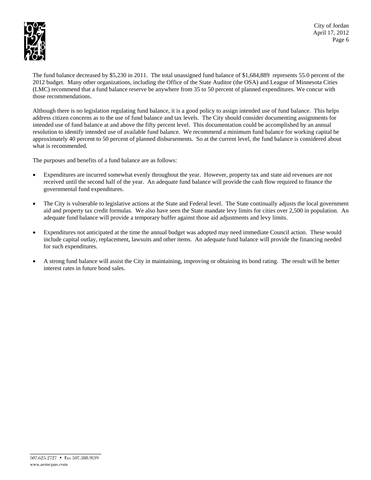

City of Jordan April 17, 2012 Page 6

The fund balance decreased by \$5,230 in 2011. The total unassigned fund balance of \$1,684,889 represents 55.0 percent of the 2012 budget. Many other organizations, including the Office of the State Auditor (the OSA) and League of Minnesota Cities (LMC) recommend that a fund balance reserve be anywhere from 35 to 50 percent of planned expenditures. We concur with those recommendations.

Although there is no legislation regulating fund balance, it is a good policy to assign intended use of fund balance. This helps address citizen concerns as to the use of fund balance and tax levels. The City should consider documenting assignments for intended use of fund balance at and above the fifty percent level. This documentation could be accomplished by an annual resolution to identify intended use of available fund balance. We recommend a minimum fund balance for working capital be approximately 40 percent to 50 percent of planned disbursements. So at the current level, the fund balance is considered about what is recommended.

The purposes and benefits of a fund balance are as follows:

- Expenditures are incurred somewhat evenly throughout the year. However, property tax and state aid revenues are not received until the second half of the year. An adequate fund balance will provide the cash flow required to finance the governmental fund expenditures.
- The City is vulnerable to legislative actions at the State and Federal level. The State continually adjusts the local government aid and property tax credit formulas. We also have seen the State mandate levy limits for cities over 2,500 in population. An adequate fund balance will provide a temporary buffer against those aid adjustments and levy limits.
- Expenditures not anticipated at the time the annual budget was adopted may need immediate Council action. These would include capital outlay, replacement, lawsuits and other items. An adequate fund balance will provide the financing needed for such expenditures.
- A strong fund balance will assist the City in maintaining, improving or obtaining its bond rating. The result will be better interest rates in future bond sales.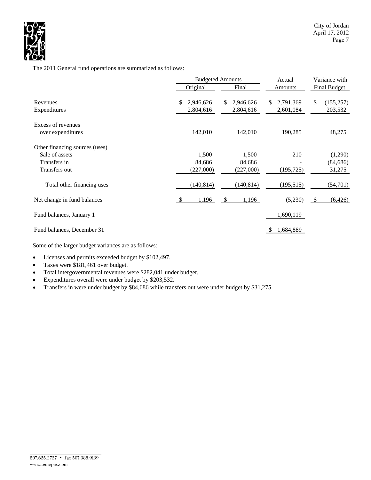

The 2011 General fund operations are summarized as follows:

|                                                                                   | <b>Budgeted Amounts</b> |                              |       |                              |    | Actual                 |              | Variance with                  |  |  |
|-----------------------------------------------------------------------------------|-------------------------|------------------------------|-------|------------------------------|----|------------------------|--------------|--------------------------------|--|--|
|                                                                                   |                         | Original                     | Final |                              |    | Amounts                | Final Budget |                                |  |  |
| Revenues<br>Expenditures                                                          | \$.                     | 2,946,626<br>2,804,616       | \$.   | 2,946,626<br>2,804,616       | S. | 2,791,369<br>2,601,084 | \$           | (155, 257)<br>203,532          |  |  |
| Excess of revenues<br>over expenditures                                           |                         | 142,010                      |       | 142,010                      |    | 190,285                |              | 48,275                         |  |  |
| Other financing sources (uses)<br>Sale of assets<br>Transfers in<br>Transfers out |                         | 1,500<br>84,686<br>(227,000) |       | 1,500<br>84,686<br>(227,000) |    | 210<br>(195, 725)      |              | (1,290)<br>(84, 686)<br>31,275 |  |  |
| Total other financing uses                                                        |                         | (140, 814)                   |       | (140, 814)                   |    | (195, 515)             |              | (54, 701)                      |  |  |
| Net change in fund balances                                                       |                         | 1,196                        |       | 1,196                        |    | (5,230)                | - \$         | (6, 426)                       |  |  |
| Fund balances, January 1                                                          |                         |                              |       |                              |    | 1,690,119              |              |                                |  |  |
| Fund balances, December 31                                                        |                         |                              |       |                              |    | 1,684,889              |              |                                |  |  |

Some of the larger budget variances are as follows:

- Licenses and permits exceeded budget by \$102,497.
- Taxes were \$181,461 over budget.
- Total intergovernmental revenues were \$282,041 under budget.
- Expenditures overall were under budget by \$203,532.
- Transfers in were under budget by \$84,686 while transfers out were under budget by \$31,275.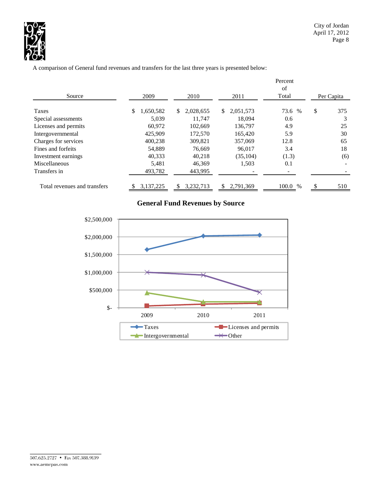

A comparison of General fund revenues and transfers for the last three years is presented below:

|                              |                 |                 |                  | Percent<br>of |               |            |
|------------------------------|-----------------|-----------------|------------------|---------------|---------------|------------|
| Source                       | 2009            | 2010            | 2011             | Total         |               | Per Capita |
| Taxes                        | 1,650,582<br>S. | 2,028,655<br>S. | 2,051,573<br>\$. | 73.6 %        | \$            | 375        |
| Special assessments          | 5.039           | 11.747          | 18,094           | 0.6           |               |            |
| Licenses and permits         | 60,972          | 102,669         | 136,797          | 4.9           |               | 25         |
| Intergovernmental            | 425,909         | 172,570         | 165,420          | 5.9           |               | 30         |
| Charges for services         | 400.238         | 309.821         | 357,069          | 12.8          |               | 65         |
| Fines and forfeits           | 54.889          | 76,669          | 96,017           | 3.4           |               | 18         |
| Investment earnings          | 40,333          | 40,218          | (35, 104)        | (1.3)         |               | (6)        |
| <b>Miscellaneous</b>         | 5,481           | 46,369          | 1,503            | 0.1           |               |            |
| Transfers in                 | 493,782         | 443,995         |                  |               |               |            |
| Total revenues and transfers | 3,137,225       | 3,232,713<br>S  | 2,791,369<br>æ,  | 100.0 %       | <sup>\$</sup> | 510        |

# **General Fund Revenues by Source**

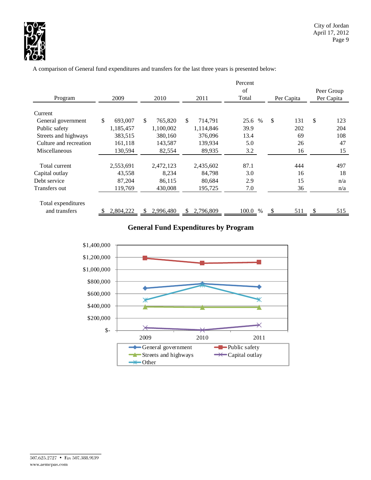

A comparison of General fund expenditures and transfers for the last three years is presented below:

|                        |               |               |                            | Percent |            |            |  |
|------------------------|---------------|---------------|----------------------------|---------|------------|------------|--|
|                        |               | Peer Group    |                            |         |            |            |  |
| Program                | 2009          | 2010          | 2011                       | Total   | Per Capita | Per Capita |  |
|                        |               |               |                            |         |            |            |  |
| Current                |               |               |                            |         |            |            |  |
| General government     | \$<br>693,007 | \$<br>765,820 | $\mathcal{S}$<br>714,791   | 25.6 %  | \$<br>131  | \$<br>123  |  |
| Public safety          | 1,185,457     | 1,100,002     | 1,114,846                  | 39.9    | 202        | 204        |  |
| Streets and highways   | 383,515       | 380,160       | 376,096                    | 13.4    | 69         | 108        |  |
| Culture and recreation | 161,118       | 143,587       | 139,934                    | 5.0     | 26         | 47         |  |
| Miscellaneous          | 130,594       | 82,554        | 89,935                     | 3.2     | 16         | 15         |  |
|                        |               |               |                            |         |            |            |  |
| Total current          | 2,553,691     | 2,472,123     | 2,435,602                  | 87.1    | 444        | 497        |  |
| Capital outlay         | 43,558        | 8,234         | 84,798                     | 3.0     | 16         | 18         |  |
| Debt service           | 87,204        | 86,115        | 80,684                     | 2.9     | 15         | n/a        |  |
| Transfers out          | 119,769       | 430,008       | 195,725                    | 7.0     | 36         | n/a        |  |
|                        |               |               |                            |         |            |            |  |
| Total expenditures     |               |               |                            |         |            |            |  |
| and transfers          | 2,804,222     | 2,996,480     | 2,796,809<br><sup>\$</sup> | 100.0 % | 511        | 515        |  |

# **General Fund Expenditures by Program**

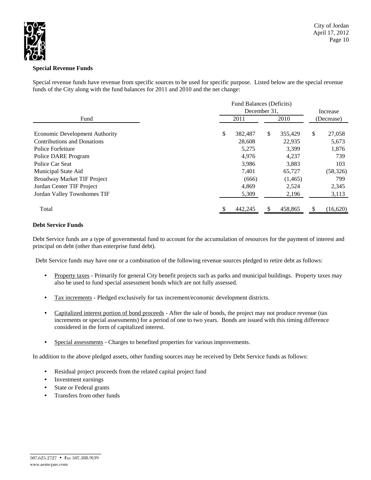

### **Special Revenue Funds**

Special revenue funds have revenue from specific sources to be used for specific purpose. Listed below are the special revenue funds of the City along with the fund balances for 2011 and 2010 and the net change:

|                                       | Fund Balances (Deficits) |               |              |
|---------------------------------------|--------------------------|---------------|--------------|
|                                       | December 31.             | Increase      |              |
| Fund                                  | 2011                     | 2010          | (Decrease)   |
| <b>Economic Development Authority</b> | 382,487<br>\$            | \$<br>355,429 | \$<br>27,058 |
| <b>Contributions and Donations</b>    | 28,608                   | 22,935        | 5,673        |
| Police Forfeiture                     | 5,275                    | 3,399         | 1,876        |
| Police DARE Program                   | 4,976                    | 4,237         | 739          |
| Police Car Seat                       | 3,986                    | 3,883         | 103          |
| Municipal State Aid                   | 7,401                    | 65,727        | (58, 326)    |
| <b>Broadway Market TIF Project</b>    | (666)                    | (1,465)       | 799          |
| Jordan Center TIF Project             | 4,869                    | 2,524         | 2,345        |
| Jordan Valley Townhomes TIF           | 5,309                    | 2,196         | 3,113        |
| Total                                 | 442,245                  | 458,865       | (16,620)     |

## **Debt Service Funds**

Debt Service funds are a type of governmental fund to account for the accumulation of resources for the payment of interest and principal on debt (other than enterprise fund debt).

Debt Service funds may have one or a combination of the following revenue sources pledged to retire debt as follows:

- Property taxes Primarily for general City benefit projects such as parks and municipal buildings. Property taxes may also be used to fund special assessment bonds which are not fully assessed.
- Tax increments Pledged exclusively for tax increment/economic development districts.
- Capitalized interest portion of bond proceeds After the sale of bonds, the project may not produce revenue (tax increments or special assessments) for a period of one to two years. Bonds are issued with this timing difference considered in the form of capitalized interest.
- Special assessments Charges to benefited properties for various improvements.

In addition to the above pledged assets, other funding sources may be received by Debt Service funds as follows:

- Residual project proceeds from the related capital project fund
- Investment earnings
- State or Federal grants
- Transfers from other funds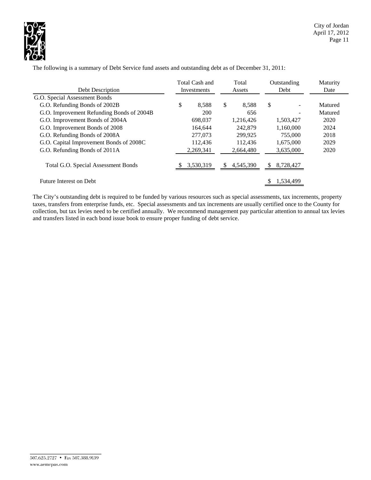

|                                            | Total Cash and |             |    | Total     |    | Outstanding | Maturity |
|--------------------------------------------|----------------|-------------|----|-----------|----|-------------|----------|
| Debt Description                           |                | Investments |    | Assets    |    | Debt        | Date     |
| G.O. Special Assessment Bonds              |                |             |    |           |    |             |          |
| G.O. Refunding Bonds of 2002B              | \$             | 8.588       | \$ | 8,588     | \$ |             | Matured  |
| G.O. Improvement Refunding Bonds of 2004B  |                | <b>200</b>  |    | 656       |    |             | Matured  |
| G.O. Improvement Bonds of 2004A            |                | 698,037     |    | 1,216,426 |    | 1,503,427   | 2020     |
| G.O. Improvement Bonds of 2008             |                | 164.644     |    | 242,879   |    | 1,160,000   | 2024     |
| G.O. Refunding Bonds of 2008A              |                | 277,073     |    | 299.925   |    | 755,000     | 2018     |
| G.O. Capital Improvement Bonds of 2008C    |                | 112.436     |    | 112.436   |    | 1,675,000   | 2029     |
| G.O. Refunding Bonds of 2011A              |                | 2,269,341   |    | 2,664,480 |    | 3,635,000   | 2020     |
| <b>Total G.O. Special Assessment Bonds</b> |                | 3,530,319   | S  | 4,545,390 |    | 8,728,427   |          |
| Future Interest on Debt                    |                |             |    |           |    | 1,534,499   |          |

The following is a summary of Debt Service fund assets and outstanding debt as of December 31, 2011:

The City's outstanding debt is required to be funded by various resources such as special assessments, tax increments, property taxes, transfers from enterprise funds, etc. Special assessments and tax increments are usually certified once to the County for collection, but tax levies need to be certified annually. We recommend management pay particular attention to annual tax levies and transfers listed in each bond issue book to ensure proper funding of debt service.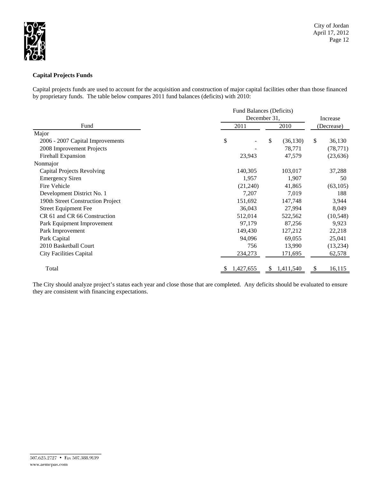

## **Capital Projects Funds**

Capital projects funds are used to account for the acquisition and construction of major capital facilities other than those financed by proprietary funds. The table below compares 2011 fund balances (deficits) with 2010:

|                                   |              | Fund Balances (Deficits) |              |  |  |  |  |  |  |
|-----------------------------------|--------------|--------------------------|--------------|--|--|--|--|--|--|
|                                   | December 31, | Increase                 |              |  |  |  |  |  |  |
| Fund                              | 2011         | 2010                     | (Decrease)   |  |  |  |  |  |  |
| Major                             |              |                          |              |  |  |  |  |  |  |
| 2006 - 2007 Capital Improvements  | \$           | \$<br>(36, 130)          | \$<br>36,130 |  |  |  |  |  |  |
| 2008 Improvement Projects         |              | 78,771                   | (78, 771)    |  |  |  |  |  |  |
| Firehall Expansion                | 23,943       | 47,579                   | (23, 636)    |  |  |  |  |  |  |
| Nonmajor                          |              |                          |              |  |  |  |  |  |  |
| Capital Projects Revolving        | 140,305      | 103,017                  | 37,288       |  |  |  |  |  |  |
| <b>Emergency Siren</b>            | 1,957        | 1,907                    | 50           |  |  |  |  |  |  |
| Fire Vehicle                      | (21,240)     | 41,865                   | (63, 105)    |  |  |  |  |  |  |
| Development District No. 1        | 7,207        | 7,019                    | 188          |  |  |  |  |  |  |
| 190th Street Construction Project | 151,692      | 147,748                  | 3,944        |  |  |  |  |  |  |
| <b>Street Equipment Fee</b>       | 36,043       | 27,994                   | 8,049        |  |  |  |  |  |  |
| CR 61 and CR 66 Construction      | 512,014      | 522,562                  | (10, 548)    |  |  |  |  |  |  |
| Park Equipment Improvement        | 97,179       | 87,256                   | 9,923        |  |  |  |  |  |  |
| Park Improvement                  | 149,430      | 127,212                  | 22,218       |  |  |  |  |  |  |
| Park Capital                      | 94,096       | 69,055                   | 25,041       |  |  |  |  |  |  |
| 2010 Basketball Court             | 756          | 13,990                   | (13,234)     |  |  |  |  |  |  |
| <b>City Facilities Capital</b>    | 234,273      | 171,695                  | 62,578       |  |  |  |  |  |  |
| Total                             | 1,427,655    | 1,411,540<br>S           | 16,115<br>\$ |  |  |  |  |  |  |

The City should analyze project's status each year and close those that are completed. Any deficits should be evaluated to ensure they are consistent with financing expectations.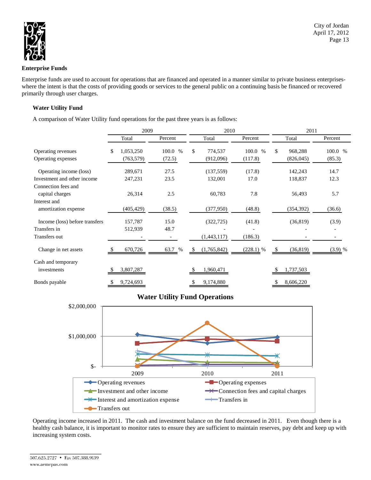

### **Enterprise Funds**

Enterprise funds are used to account for operations that are financed and operated in a manner similar to private business enterpriseswhere the intent is that the costs of providing goods or services to the general public on a continuing basis be financed or recovered primarily through user charges.

### **Water Utility Fund**

A comparison of Water Utility fund operations for the past three years is as follows:

|                                | 2009 |            |  |         | 2010 |             |         |             | 2011 |            |  |           |
|--------------------------------|------|------------|--|---------|------|-------------|---------|-------------|------|------------|--|-----------|
|                                |      | Total      |  | Percent |      | Total       | Percent |             |      | Total      |  | Percent   |
| Operating revenues             | \$   | 1,053,250  |  | 100.0 % | \$   | 774,537     |         | 100.0 %     | \$   | 968,288    |  | 100.0 %   |
| Operating expenses             |      | (763, 579) |  | (72.5)  |      | (912,096)   | (117.8) |             |      | (826, 045) |  | (85.3)    |
| Operating income (loss)        |      | 289,671    |  | 27.5    |      | (137, 559)  |         | (17.8)      |      | 142,243    |  | 14.7      |
| Investment and other income    |      | 247,231    |  | 23.5    |      | 132,001     |         | 17.0        |      | 118,837    |  | 12.3      |
| Connection fees and            |      |            |  |         |      |             |         |             |      |            |  |           |
| capital charges                |      | 26,314     |  | 2.5     |      | 60,783      | 7.8     |             |      | 56,493     |  | 5.7       |
| Interest and                   |      |            |  |         |      |             |         |             |      |            |  |           |
| amortization expense           |      | (405,429)  |  | (38.5)  |      | (377,950)   |         | (48.8)      |      | (354, 392) |  | (36.6)    |
| Income (loss) before transfers |      | 157,787    |  | 15.0    |      | (322, 725)  |         | (41.8)      |      | (36, 819)  |  | (3.9)     |
| Transfers in                   |      | 512,939    |  | 48.7    |      |             |         |             |      |            |  |           |
| Transfers out                  |      |            |  |         |      | (1,443,117) | (186.3) |             |      |            |  |           |
| Change in net assets           |      | 670,726    |  | 63.7 %  | S.   | (1,765,842) |         | $(228.1)$ % |      | (36, 819)  |  | $(3.9)$ % |
| Cash and temporary             |      |            |  |         |      |             |         |             |      |            |  |           |
| investments                    |      | 3,807,287  |  |         |      | 1,960,471   |         |             |      | 1,737,503  |  |           |
| Bonds payable                  | \$   | 9,724,693  |  |         | S    | 9,174,880   |         |             | \$   | 8,606,220  |  |           |

# **Water Utility Fund Operations**



Operating income increased in 2011. The cash and investment balance on the fund decreased in 2011. Even though there is a healthy cash balance, it is important to monitor rates to ensure they are sufficient to maintain reserves, pay debt and keep up with increasing system costs.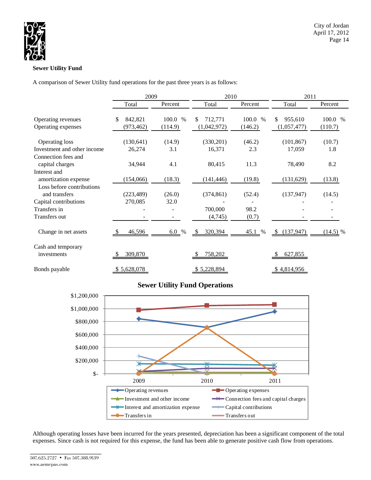

## **Sewer Utility Fund**

A comparison of Sewer Utility fund operations for the past three years is as follows:

|                                               | 2009                 |               | 2010                |               | 2011                 |               |  |  |
|-----------------------------------------------|----------------------|---------------|---------------------|---------------|----------------------|---------------|--|--|
|                                               | Total                | Percent       | Total               | Percent       | Total                | Percent       |  |  |
| Operating revenues                            | 842,821<br>\$        | 100.0 %       | 712,771<br>\$       | 100.0 %       | \$<br>955,610        | 100.0 %       |  |  |
| Operating expenses                            | (973, 462)           | (114.9)       | (1,042,972)         | (146.2)       | (1,057,477)          | (110.7)       |  |  |
| Operating loss<br>Investment and other income | (130, 641)<br>26,274 | (14.9)<br>3.1 | (330,201)<br>16,371 | (46.2)<br>2.3 | (101, 867)<br>17,059 | (10.7)<br>1.8 |  |  |
| Connection fees and<br>capital charges        | 34,944               | 4.1           | 80,415              | 11.3          | 78,490               | 8.2           |  |  |
| Interest and<br>amortization expense          | (154,066)            | (18.3)        | (141, 446)          | (19.8)        | (131, 629)           | (13.8)        |  |  |
| Loss before contributions<br>and transfers    | (223, 489)           | (26.0)        | (374, 861)          | (52.4)        | (137, 947)           | (14.5)        |  |  |
| Capital contributions<br>Transfers in         | 270,085              | 32.0          | 700,000             | 98.2          |                      |               |  |  |
| Transfers out                                 |                      |               | (4,745)             | (0.7)         |                      |               |  |  |
| Change in net assets                          | 46,596               | $6.0\%$       | 320,394<br>-S       | 45.1 %        | (137, 947)<br>-S     | $(14.5)$ %    |  |  |
| Cash and temporary<br>investments             | 309,870              |               | 758,202             |               | 627,855              |               |  |  |
| Bonds payable                                 | \$5,628,078          |               | \$5,228,894         |               | \$4,814,956          |               |  |  |

# **Sewer Utility Fund Operations**



Although operating losses have been incurred for the years presented, depreciation has been a significant component of the total expenses. Since cash is not required for this expense, the fund has been able to generate positive cash flow from operations.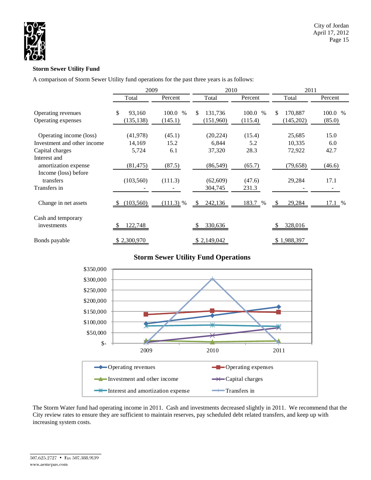

## **Storm Sewer Utility Fund**

A comparison of Storm Sewer Utility fund operations for the past three years is as follows:

|                                                                           | 2009                       |                    | 2010                       |                          | 2011                       |                   |  |  |
|---------------------------------------------------------------------------|----------------------------|--------------------|----------------------------|--------------------------|----------------------------|-------------------|--|--|
|                                                                           | Total                      | Percent            | Total                      | Percent                  | Total                      | Percent           |  |  |
| Operating revenues<br>Operating expenses                                  | \$<br>93,160<br>(135, 138) | 100.0 %<br>(145.1) | 131,736<br>\$<br>(151,960) | 100.0<br>$\%$<br>(115.4) | 170,887<br>\$<br>(145,202) | 100.0 %<br>(85.0) |  |  |
| Operating income (loss)                                                   | (41, 978)                  | (45.1)             | (20, 224)                  | (15.4)                   | 25,685                     | 15.0              |  |  |
| Investment and other income<br>Capital charges                            | 14,169<br>5,724            | 15.2<br>6.1        | 6,844<br>37,320            | 5.2<br>28.3              | 10,335<br>72,922           | 6.0<br>42.7       |  |  |
| Interest and<br>amortization expense<br>Income (loss) before<br>transfers | (81, 475)<br>(103, 560)    | (87.5)<br>(111.3)  | (86, 549)<br>(62, 609)     | (65.7)<br>(47.6)         | (79, 658)<br>29,284        | (46.6)<br>17.1    |  |  |
| Transfers in                                                              |                            |                    | 304,745                    | 231.3                    |                            |                   |  |  |
| Change in net assets                                                      | (103, 560)                 | $(111.3)$ %        | 242,136<br>-S              | 183.7 %                  | 29,284                     | 17.1%             |  |  |
| Cash and temporary<br>investments                                         | 122,748                    |                    | 330,636                    |                          | 328,016                    |                   |  |  |
| Bonds payable                                                             | \$2,300,970                |                    | \$2,149,042                |                          | \$1,988,397                |                   |  |  |

# **Storm Sewer Utility Fund Operations**



The Storm Water fund had operating income in 2011. Cash and investments decreased slightly in 2011. We recommend that the City review rates to ensure they are sufficient to maintain reserves, pay scheduled debt related transfers, and keep up with increasing system costs.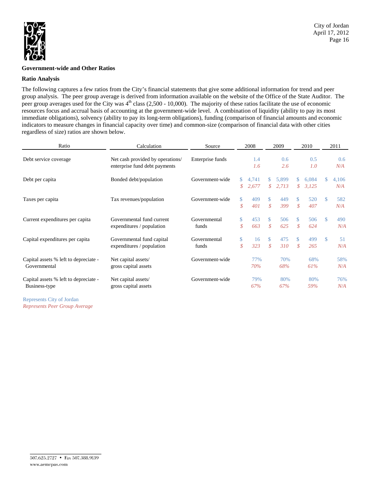

### **Government-wide and Other Ratios**

### **Ratio Analysis**

The following captures a few ratios from the City's financial statements that give some additional information for trend and peer group analysis. The peer group average is derived from information available on the website of the Office of the State Auditor. The peer group averages used for the City was  $4<sup>th</sup>$  class (2,500 - 10,000). The majority of these ratios facilitate the use of economic resources focus and accrual basis of accounting at the government-wide level. A combination of liquidity (ability to pay its most immediate obligations), solvency (ability to pay its long-term obligations), funding (comparison of financial amounts and economic indicators to measure changes in financial capacity over time) and common-size (comparison of financial data with other cities regardless of size) ratios are shown below.

| Ratio<br>Calculation                                   |                                                                   | Source                | 2008                |                | 2009                               |                |                     | 2010           |               | 2011         |
|--------------------------------------------------------|-------------------------------------------------------------------|-----------------------|---------------------|----------------|------------------------------------|----------------|---------------------|----------------|---------------|--------------|
| Debt service coverage                                  | Net cash provided by operations/<br>enterprise fund debt payments | Enterprise funds      |                     | 1.4<br>1.6     |                                    | 0.6<br>2.6     |                     | 0.5<br>1.0     |               | 0.6<br>N/A   |
| Debt per capita                                        | Bonded debt/population                                            | Government-wide       | \$<br>\$            | 4,741<br>2,677 | \$.<br>$\mathcal{S}^-$             | 5,899<br>2,713 | \$<br>\$            | 6,084<br>3,125 | S.            | 4,106<br>N/A |
| Taxes per capita                                       | Tax revenues/population                                           | Government-wide       | $\mathbb{S}$<br>\$  | 409<br>401     | \$.<br>\$                          | 449<br>399     | <sup>\$</sup><br>\$ | 520<br>407     | <sup>\$</sup> | 582<br>N/A   |
| Current expenditures per capita                        | Governmental fund current<br>expenditures / population            | Governmental<br>funds | \$<br>$\mathcal{S}$ | 453<br>663     | <sup>\$</sup><br>\$                | 506<br>625     | <sup>\$</sup><br>\$ | 506<br>624     | $\mathcal{S}$ | 490<br>N/A   |
| Capital expenditures per capita                        | Governmental fund capital<br>expenditures / population            | Governmental<br>funds | \$<br>\$            | 16<br>323      | <sup>\$</sup><br>$\mathcal{S}_{0}$ | 475<br>310     | <sup>\$</sup><br>\$ | 499<br>265     | $\mathbb{S}$  | 51<br>N/A    |
| Capital assets % left to depreciate -<br>Governmental  | Net capital assets/<br>gross capital assets                       | Government-wide       |                     | 77%<br>70%     |                                    | 70%<br>68%     |                     | 68%<br>61%     |               | 58%<br>N/A   |
| Capital assets % left to depreciate -<br>Business-type | Net capital assets/<br>gross capital assets                       | Government-wide       |                     | 79%<br>67%     |                                    | 80%<br>67%     |                     | 80%<br>59%     |               | 76%<br>N/A   |

Represents City of Jordan *Represents Peer Group Average*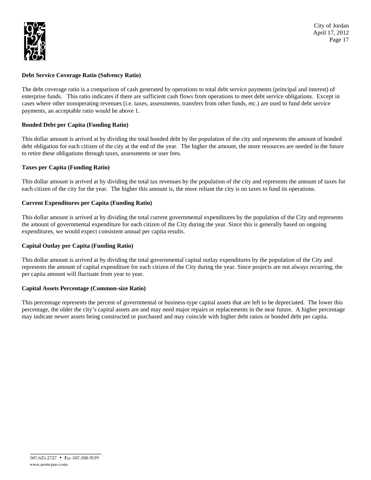

### **Debt Service Coverage Ratio (Solvency Ratio)**

The debt coverage ratio is a comparison of cash generated by operations to total debt service payments (principal and interest) of enterprise funds. This ratio indicates if there are sufficient cash flows from operations to meet debt service obligations. Except in cases where other nonoperating revenues (i.e. taxes, assessments, transfers from other funds, etc.) are used to fund debt service payments, an acceptable ratio would be above 1.

### **Bonded Debt per Capita (Funding Ratio)**

This dollar amount is arrived at by dividing the total bonded debt by the population of the city and represents the amount of bonded debt obligation for each citizen of the city at the end of the year. The higher the amount, the more resources are needed in the future to retire these obligations through taxes, assessments or user fees.

### **Taxes per Capita (Funding Ratio)**

This dollar amount is arrived at by dividing the total tax revenues by the population of the city and represents the amount of taxes for each citizen of the city for the year. The higher this amount is, the more reliant the city is on taxes to fund its operations.

## **Current Expenditures per Capita (Funding Ratio)**

This dollar amount is arrived at by dividing the total current governmental expenditures by the population of the City and represents the amount of governmental expenditure for each citizen of the City during the year. Since this is generally based on ongoing expenditures, we would expect consistent annual per capita results.

### **Capital Outlay per Capita (Funding Ratio)**

This dollar amount is arrived at by dividing the total governmental capital outlay expenditures by the population of the City and represents the amount of capital expenditure for each citizen of the City during the year. Since projects are not always recurring, the per capita amount will fluctuate from year to year.

### **Capital Assets Percentage (Common-size Ratio)**

This percentage represents the percent of governmental or business-type capital assets that are left to be depreciated. The lower this percentage, the older the city's capital assets are and may need major repairs or replacements in the near future. A higher percentage may indicate newer assets being constructed or purchased and may coincide with higher debt ratios or bonded debt per capita.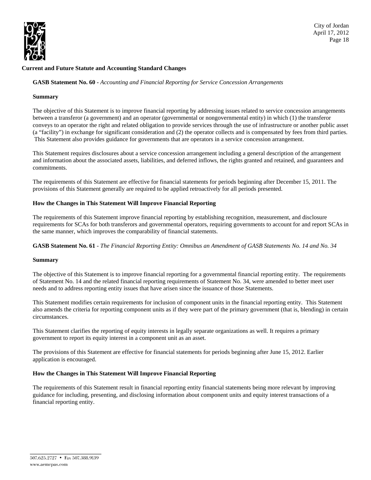

## **Current and Future Statute and Accounting Standard Changes**

**GASB Statement No. 60 -** *Accounting and Financial Reporting for Service Concession Arrangements*

### **Summary**

The objective of this Statement is to improve financial reporting by addressing issues related to service concession arrangements between a transferor (a government) and an operator (governmental or nongovernmental entity) in which (1) the transferor conveys to an operator the right and related obligation to provide services through the use of infrastructure or another public asset (a "facility") in exchange for significant consideration and (2) the operator collects and is compensated by fees from third parties. This Statement also provides guidance for governments that are operators in a service concession arrangement.

This Statement requires disclosures about a service concession arrangement including a general description of the arrangement and information about the associated assets, liabilities, and deferred inflows, the rights granted and retained, and guarantees and commitments.

The requirements of this Statement are effective for financial statements for periods beginning after December 15, 2011. The provisions of this Statement generally are required to be applied retroactively for all periods presented.

### **How the Changes in This Statement Will Improve Financial Reporting**

The requirements of this Statement improve financial reporting by establishing recognition, measurement, and disclosure requirements for SCAs for both transferors and governmental operators, requiring governments to account for and report SCAs in the same manner, which improves the comparability of financial statements.

**GASB Statement No. 61** - *The Financial Reporting Entity: Omnibus an Amendment of GASB Statements No. 14 and No. 34* 

#### **Summary**

The objective of this Statement is to improve financial reporting for a governmental financial reporting entity. The requirements of Statement No. 14 and the related financial reporting requirements of Statement No. 34, were amended to better meet user needs and to address reporting entity issues that have arisen since the issuance of those Statements.

This Statement modifies certain requirements for inclusion of component units in the financial reporting entity. This Statement also amends the criteria for reporting component units as if they were part of the primary government (that is, blending) in certain circumstances.

This Statement clarifies the reporting of equity interests in legally separate organizations as well. It requires a primary government to report its equity interest in a component unit as an asset.

The provisions of this Statement are effective for financial statements for periods beginning after June 15, 2012. Earlier application is encouraged.

### **How the Changes in This Statement Will Improve Financial Reporting**

The requirements of this Statement result in financial reporting entity financial statements being more relevant by improving guidance for including, presenting, and disclosing information about component units and equity interest transactions of a financial reporting entity.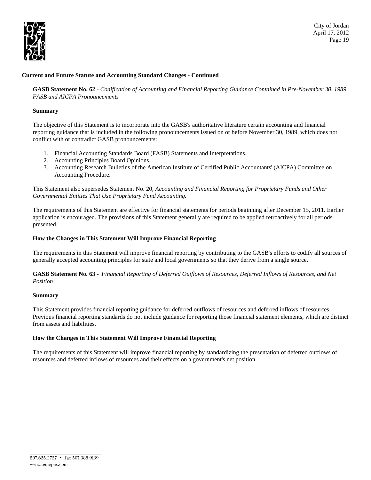

City of Jordan April 17, 2012 Page 19

### **Current and Future Statute and Accounting Standard Changes - Continued**

**GASB Statement No. 62** - *Codification of Accounting and Financial Reporting Guidance Contained in Pre-November 30, 1989 FASB and AICPA Pronouncements* 

### **Summary**

The objective of this Statement is to incorporate into the GASB's authoritative literature certain accounting and financial reporting guidance that is included in the following pronouncements issued on or before November 30, 1989, which does not conflict with or contradict GASB pronouncements:

- 1. Financial Accounting Standards Board (FASB) Statements and Interpretations.
- 2. Accounting Principles Board Opinions.
- 3. Accounting Research Bulletins of the American Institute of Certified Public Accountants' (AICPA) Committee on Accounting Procedure.

This Statement also supersedes Statement No. 20, *Accounting and Financial Reporting for Proprietary Funds and Other Governmental Entities That Use Proprietary Fund Accounting.* 

The requirements of this Statement are effective for financial statements for periods beginning after December 15, 2011. Earlier application is encouraged. The provisions of this Statement generally are required to be applied retroactively for all periods presented.

### **How the Changes in This Statement Will Improve Financial Reporting**

The requirements in this Statement will improve financial reporting by contributing to the GASB's efforts to codify all sources of generally accepted accounting principles for state and local governments so that they derive from a single source.

**GASB Statement No. 63** - *Financial Reporting of Deferred Outflows of Resources, Deferred Inflows of Resources, and Net Position* 

#### **Summary**

This Statement provides financial reporting guidance for deferred outflows of resources and deferred inflows of resources. Previous financial reporting standards do not include guidance for reporting those financial statement elements, which are distinct from assets and liabilities.

### **How the Changes in This Statement Will Improve Financial Reporting**

The requirements of this Statement will improve financial reporting by standardizing the presentation of deferred outflows of resources and deferred inflows of resources and their effects on a government's net position.